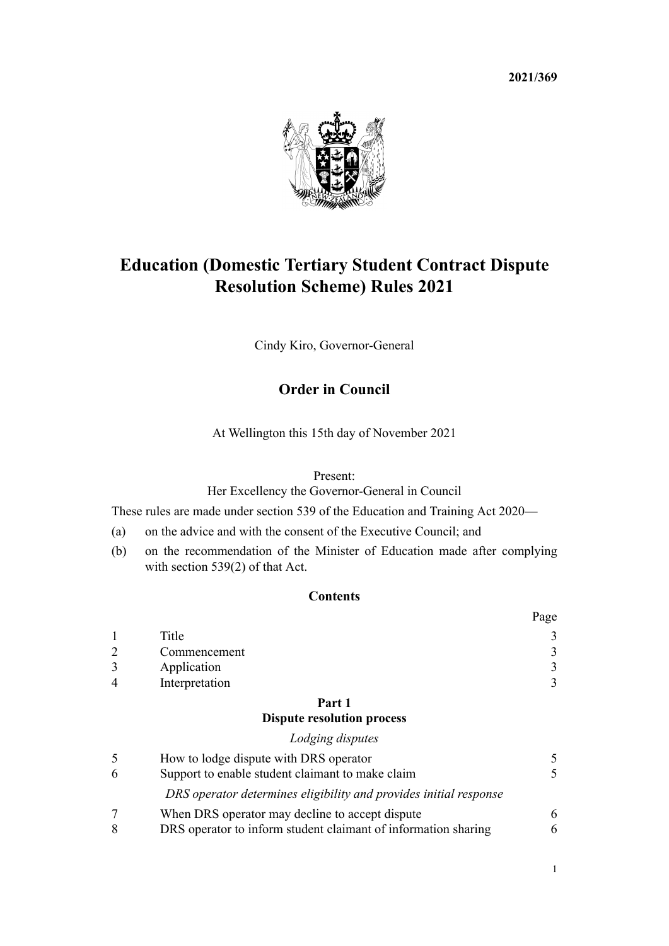**2021/369**



# **Education (Domestic Tertiary Student Contract Dispute Resolution Scheme) Rules 2021**

Cindy Kiro, Governor-General

# **Order in Council**

At Wellington this 15th day of November 2021

#### Present:

Her Excellency the Governor-General in Council

These rules are made under [section 539](http://legislation.govt.nz/pdflink.aspx?id=LMS267821) of the [Education and Training Act 2020](http://legislation.govt.nz/pdflink.aspx?id=LMS170674)—

- (a) on the advice and with the consent of the Executive Council; and
- (b) on the recommendation of the Minister of Education made after complying with section 539(2) of that Act.

## **Contents**

|                |                | Page |
|----------------|----------------|------|
|                | Title          |      |
| - 2            | Commencement   |      |
| 3              | Application    |      |
| $\overline{4}$ | Interpretation |      |
|                |                |      |

# **[Part 1](#page-4-0)**

## **[Dispute resolution process](#page-4-0)**

# *[Lodging disputes](#page-4-0)* [5](#page-4-0) [How to lodge dispute with DRS operator](#page-4-0) [5](#page-4-0) [6](#page-4-0) [Support to enable student claimant to make claim](#page-4-0) [5](#page-4-0) *[DRS operator determines eligibility and provides initial response](#page-5-0)* [7](#page-5-0) [When DRS operator may decline to accept dispute](#page-5-0) [6](#page-5-0) [8](#page-5-0) [DRS operator to inform student claimant of information sharing](#page-5-0) [6](#page-5-0)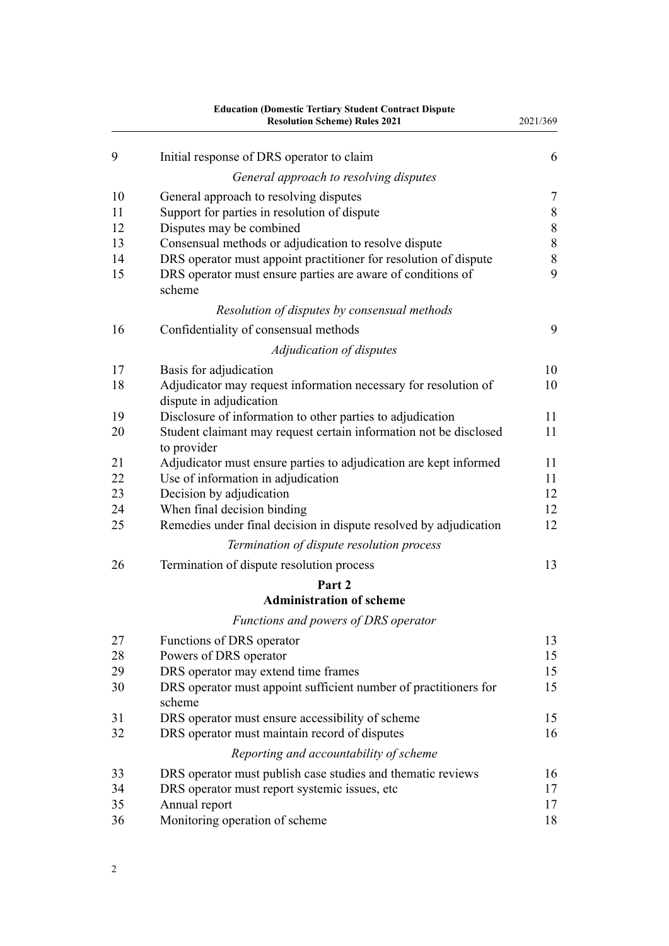|          | <b>Education (Domestic Tertiary Student Contract Dispute</b><br><b>Resolution Scheme) Rules 2021</b>                                      | 2021/369         |
|----------|-------------------------------------------------------------------------------------------------------------------------------------------|------------------|
| 9        | Initial response of DRS operator to claim                                                                                                 | 6                |
|          | General approach to resolving disputes                                                                                                    |                  |
| 10       | General approach to resolving disputes                                                                                                    | $\boldsymbol{7}$ |
| 11       | Support for parties in resolution of dispute                                                                                              | $\,$ $\,$        |
| 12       | Disputes may be combined                                                                                                                  | $\,$ $\,$        |
| 13       | Consensual methods or adjudication to resolve dispute                                                                                     | $\,$ $\,$        |
| 14<br>15 | DRS operator must appoint practitioner for resolution of dispute<br>DRS operator must ensure parties are aware of conditions of<br>scheme | 8<br>9           |
|          | Resolution of disputes by consensual methods                                                                                              |                  |
| 16       | Confidentiality of consensual methods                                                                                                     | 9                |
|          | Adjudication of disputes                                                                                                                  |                  |
| 17       | Basis for adjudication                                                                                                                    | 10               |
| 18       | Adjudicator may request information necessary for resolution of<br>dispute in adjudication                                                | 10               |
| 19       | Disclosure of information to other parties to adjudication                                                                                | 11               |
| 20       | Student claimant may request certain information not be disclosed<br>to provider                                                          | 11               |
| 21       | Adjudicator must ensure parties to adjudication are kept informed                                                                         | 11               |
| 22       | Use of information in adjudication                                                                                                        | 11               |
| 23<br>24 | Decision by adjudication<br>When final decision binding                                                                                   | 12<br>12         |
| 25       | Remedies under final decision in dispute resolved by adjudication                                                                         | 12               |
|          | Termination of dispute resolution process                                                                                                 |                  |
| 26       | Termination of dispute resolution process                                                                                                 | 13               |
|          | Part 2                                                                                                                                    |                  |
|          | <b>Administration of scheme</b>                                                                                                           |                  |
|          | Functions and powers of DRS operator                                                                                                      |                  |
| 27       | Functions of DRS operator                                                                                                                 | 13               |
| 28       | Powers of DRS operator                                                                                                                    | 15               |
| 29       | DRS operator may extend time frames                                                                                                       | 15               |
| 30       | DRS operator must appoint sufficient number of practitioners for<br>scheme                                                                | 15               |
| 31       | DRS operator must ensure accessibility of scheme                                                                                          | 15               |
| 32       | DRS operator must maintain record of disputes                                                                                             | 16               |
|          | Reporting and accountability of scheme                                                                                                    |                  |
| 33       | DRS operator must publish case studies and thematic reviews                                                                               | 16               |
| 34       | DRS operator must report systemic issues, etc.                                                                                            | 17               |
| 35<br>36 | Annual report<br>Monitoring operation of scheme                                                                                           | 17<br>18         |
|          |                                                                                                                                           |                  |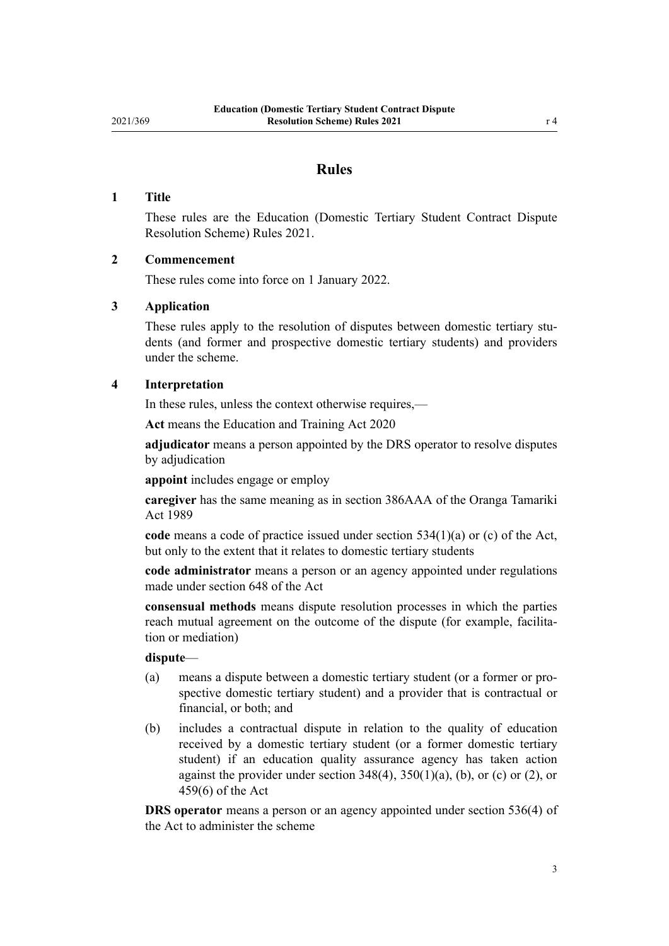## **Rules**

#### <span id="page-2-0"></span>**1 Title**

These rules are the Education (Domestic Tertiary Student Contract Dispute Resolution Scheme) Rules 2021.

#### **2 Commencement**

These rules come into force on 1 January 2022.

#### **3 Application**

These rules apply to the resolution of disputes between domestic tertiary students (and former and prospective domestic tertiary students) and providers under the scheme.

#### **4 Interpretation**

In these rules, unless the context otherwise requires,—

**Act** means the [Education and Training Act 2020](http://legislation.govt.nz/pdflink.aspx?id=LMS170674)

**adjudicator** means a person appointed by the DRS operator to resolve disputes by adjudication

**appoint** includes engage or employ

**caregiver** has the same meaning as in [section 386AAA](http://legislation.govt.nz/pdflink.aspx?id=LMS223404) of the Oranga Tamariki Act 1989

**code** means a code of practice issued under [section 534\(1\)\(a\) or \(c\)](http://legislation.govt.nz/pdflink.aspx?id=LMS267809) of the Act, but only to the extent that it relates to domestic tertiary students

**code administrator** means a person or an agency appointed under regulations made under [section 648](http://legislation.govt.nz/pdflink.aspx?id=LMS348617) of the Act

**consensual methods** means dispute resolution processes in which the parties reach mutual agreement on the outcome of the dispute (for example, facilitation or mediation)

#### **dispute**—

- (a) means a dispute between a domestic tertiary student (or a former or pro‐ spective domestic tertiary student) and a provider that is contractual or financial, or both; and
- (b) includes a contractual dispute in relation to the quality of education received by a domestic tertiary student (or a former domestic tertiary student) if an education quality assurance agency has taken action against the provider under section  $348(4)$ ,  $350(1)(a)$ , (b), or (c) or (2), or [459\(6\)](http://legislation.govt.nz/pdflink.aspx?id=LMS172315) of the Act

**DRS operator** means a person or an agency appointed under [section 536\(4\)](http://legislation.govt.nz/pdflink.aspx?id=LMS267818) of the Act to administer the scheme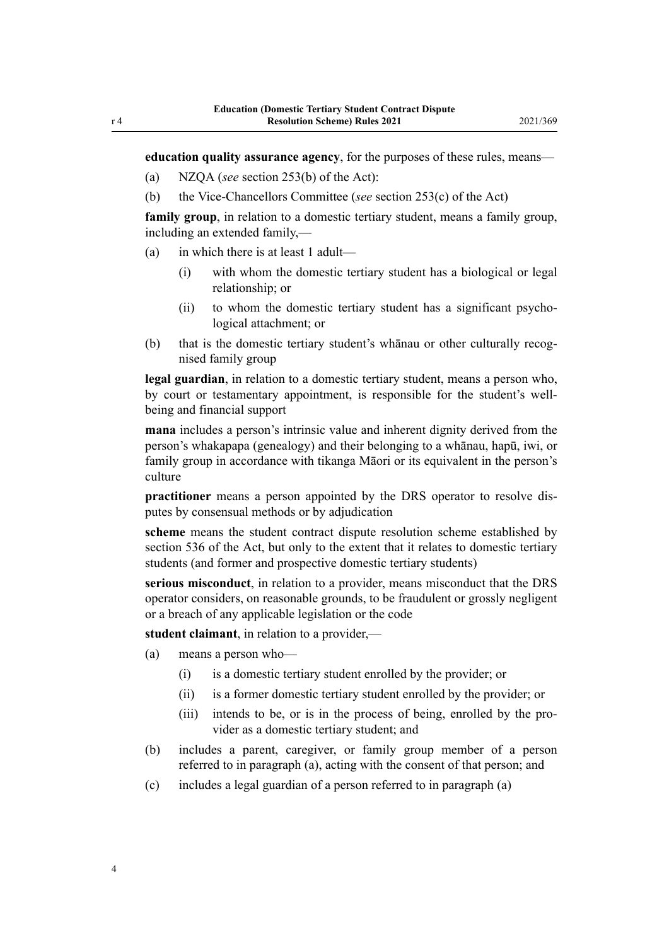**education quality assurance agency**, for the purposes of these rules, means—

- (a) NZQA (*see* [section 253\(b\)](http://legislation.govt.nz/pdflink.aspx?id=LMS202211) of the Act):
- (b) the Vice-Chancellors Committee (*see* [section 253\(c\)](http://legislation.govt.nz/pdflink.aspx?id=LMS202211) of the Act)

**family group**, in relation to a domestic tertiary student, means a family group, including an extended family,—

- (a) in which there is at least 1 adult—
	- (i) with whom the domestic tertiary student has a biological or legal relationship; or
	- (ii) to whom the domestic tertiary student has a significant psychological attachment; or
- (b) that is the domestic tertiary student's whanau or other culturally recognised family group

**legal guardian**, in relation to a domestic tertiary student, means a person who, by court or testamentary appointment, is responsible for the student's wellbeing and financial support

**mana** includes a person's intrinsic value and inherent dignity derived from the person's whakapapa (genealogy) and their belonging to a whānau, hapū, iwi, or family group in accordance with tikanga Māori or its equivalent in the person's culture

**practitioner** means a person appointed by the DRS operator to resolve dis‐ putes by consensual methods or by adjudication

**scheme** means the student contract dispute resolution scheme established by [section 536](http://legislation.govt.nz/pdflink.aspx?id=LMS267818) of the Act, but only to the extent that it relates to domestic tertiary students (and former and prospective domestic tertiary students)

**serious misconduct**, in relation to a provider, means misconduct that the DRS operator considers, on reasonable grounds, to be fraudulent or grossly negligent or a breach of any applicable legislation or the code

**student claimant**, in relation to a provider,—

- (a) means a person who—
	- (i) is a domestic tertiary student enrolled by the provider; or
	- (ii) is a former domestic tertiary student enrolled by the provider; or
	- (iii) intends to be, or is in the process of being, enrolled by the provider as a domestic tertiary student; and
- (b) includes a parent, caregiver, or family group member of a person referred to in paragraph (a), acting with the consent of that person; and
- (c) includes a legal guardian of a person referred to in paragraph (a)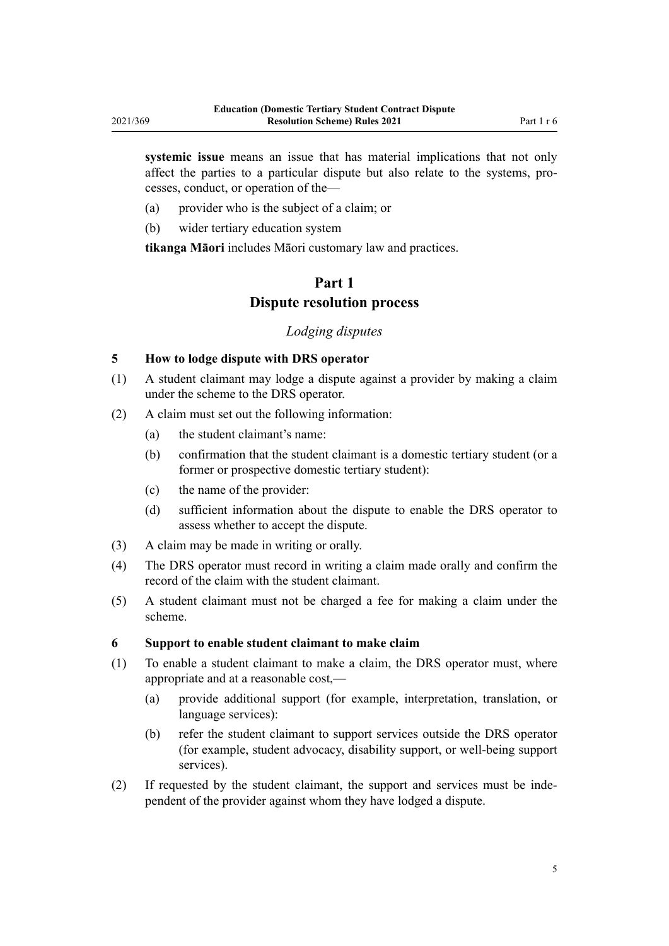<span id="page-4-0"></span>**systemic issue** means an issue that has material implications that not only affect the parties to a particular dispute but also relate to the systems, pro‐ cesses, conduct, or operation of the—

- (a) provider who is the subject of a claim; or
- (b) wider tertiary education system

**tikanga Māori** includes Māori customary law and practices.

# **Part 1 Dispute resolution process**

## *Lodging disputes*

### **5 How to lodge dispute with DRS operator**

- (1) A student claimant may lodge a dispute against a provider by making a claim under the scheme to the DRS operator.
- (2) A claim must set out the following information:
	- (a) the student claimant's name:
	- (b) confirmation that the student claimant is a domestic tertiary student (or a former or prospective domestic tertiary student):
	- (c) the name of the provider:
	- (d) sufficient information about the dispute to enable the DRS operator to assess whether to accept the dispute.
- (3) A claim may be made in writing or orally.
- (4) The DRS operator must record in writing a claim made orally and confirm the record of the claim with the student claimant.
- (5) A student claimant must not be charged a fee for making a claim under the scheme.

#### **6 Support to enable student claimant to make claim**

- (1) To enable a student claimant to make a claim, the DRS operator must, where appropriate and at a reasonable cost,—
	- (a) provide additional support (for example, interpretation, translation, or language services):
	- (b) refer the student claimant to support services outside the DRS operator (for example, student advocacy, disability support, or well-being support services).
- (2) If requested by the student claimant, the support and services must be inde‐ pendent of the provider against whom they have lodged a dispute.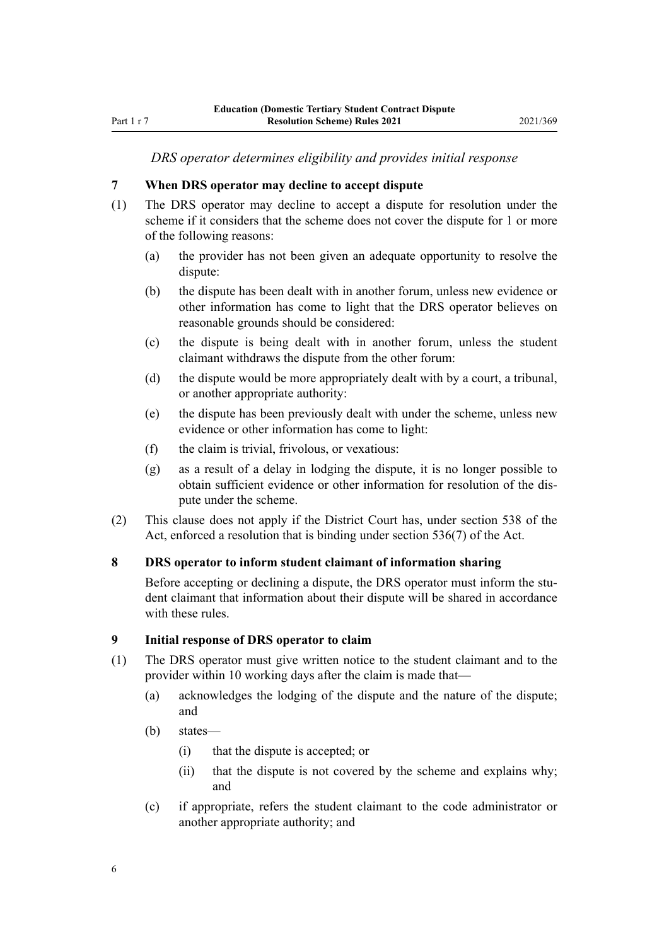### *DRS operator determines eligibility and provides initial response*

#### <span id="page-5-0"></span>**7 When DRS operator may decline to accept dispute**

- (1) The DRS operator may decline to accept a dispute for resolution under the scheme if it considers that the scheme does not cover the dispute for 1 or more of the following reasons:
	- (a) the provider has not been given an adequate opportunity to resolve the dispute:
	- (b) the dispute has been dealt with in another forum, unless new evidence or other information has come to light that the DRS operator believes on reasonable grounds should be considered:
	- (c) the dispute is being dealt with in another forum, unless the student claimant withdraws the dispute from the other forum:
	- (d) the dispute would be more appropriately dealt with by a court, a tribunal, or another appropriate authority:
	- (e) the dispute has been previously dealt with under the scheme, unless new evidence or other information has come to light:
	- (f) the claim is trivial, frivolous, or vexatious:
	- (g) as a result of a delay in lodging the dispute, it is no longer possible to obtain sufficient evidence or other information for resolution of the dis‐ pute under the scheme.
- (2) This clause does not apply if the District Court has, under [section 538](http://legislation.govt.nz/pdflink.aspx?id=LMS267820) of the Act, enforced a resolution that is binding under [section 536\(7\)](http://legislation.govt.nz/pdflink.aspx?id=LMS267818) of the Act.

#### **8 DRS operator to inform student claimant of information sharing**

Before accepting or declining a dispute, the DRS operator must inform the student claimant that information about their dispute will be shared in accordance with these rules.

#### **9 Initial response of DRS operator to claim**

- (1) The DRS operator must give written notice to the student claimant and to the provider within 10 working days after the claim is made that—
	- (a) acknowledges the lodging of the dispute and the nature of the dispute; and
	- (b) states—
		- (i) that the dispute is accepted; or
		- (ii) that the dispute is not covered by the scheme and explains why; and
	- (c) if appropriate, refers the student claimant to the code administrator or another appropriate authority; and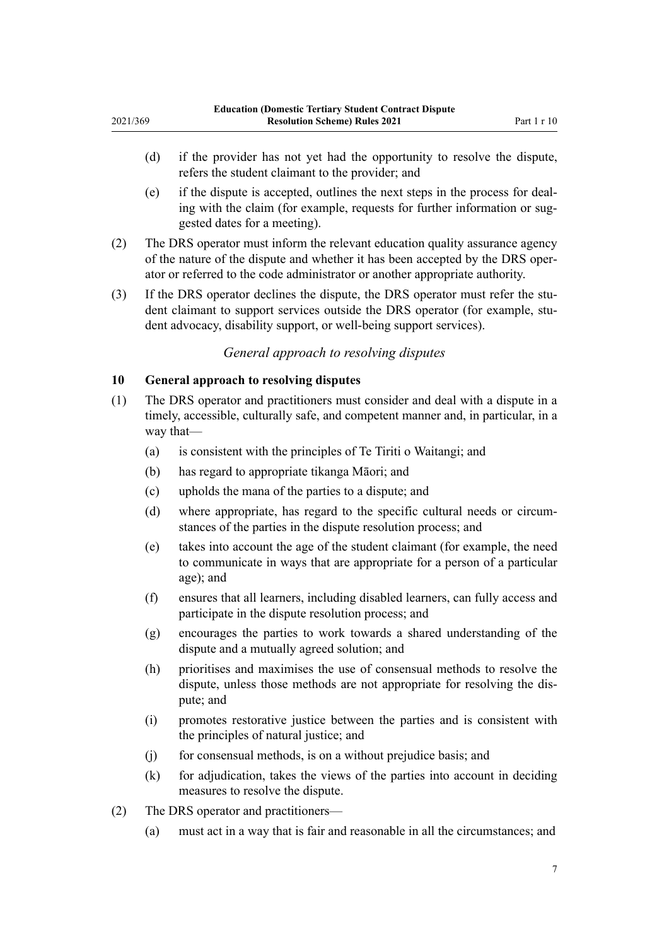- <span id="page-6-0"></span>(d) if the provider has not yet had the opportunity to resolve the dispute, refers the student claimant to the provider; and
- (e) if the dispute is accepted, outlines the next steps in the process for deal‐ ing with the claim (for example, requests for further information or suggested dates for a meeting).
- (2) The DRS operator must inform the relevant education quality assurance agency of the nature of the dispute and whether it has been accepted by the DRS oper‐ ator or referred to the code administrator or another appropriate authority.
- (3) If the DRS operator declines the dispute, the DRS operator must refer the student claimant to support services outside the DRS operator (for example, student advocacy, disability support, or well-being support services).

## *General approach to resolving disputes*

## **10 General approach to resolving disputes**

- (1) The DRS operator and practitioners must consider and deal with a dispute in a timely, accessible, culturally safe, and competent manner and, in particular, in a way that—
	- (a) is consistent with the principles of Te Tiriti o Waitangi; and
	- (b) has regard to appropriate tikanga Māori; and
	- (c) upholds the mana of the parties to a dispute; and
	- (d) where appropriate, has regard to the specific cultural needs or circumstances of the parties in the dispute resolution process; and
	- (e) takes into account the age of the student claimant (for example, the need to communicate in ways that are appropriate for a person of a particular age); and
	- (f) ensures that all learners, including disabled learners, can fully access and participate in the dispute resolution process; and
	- (g) encourages the parties to work towards a shared understanding of the dispute and a mutually agreed solution; and
	- (h) prioritises and maximises the use of consensual methods to resolve the dispute, unless those methods are not appropriate for resolving the dis‐ pute; and
	- (i) promotes restorative justice between the parties and is consistent with the principles of natural justice; and
	- (j) for consensual methods, is on a without prejudice basis; and
	- (k) for adjudication, takes the views of the parties into account in deciding measures to resolve the dispute.
- (2) The DRS operator and practitioners—
	- (a) must act in a way that is fair and reasonable in all the circumstances; and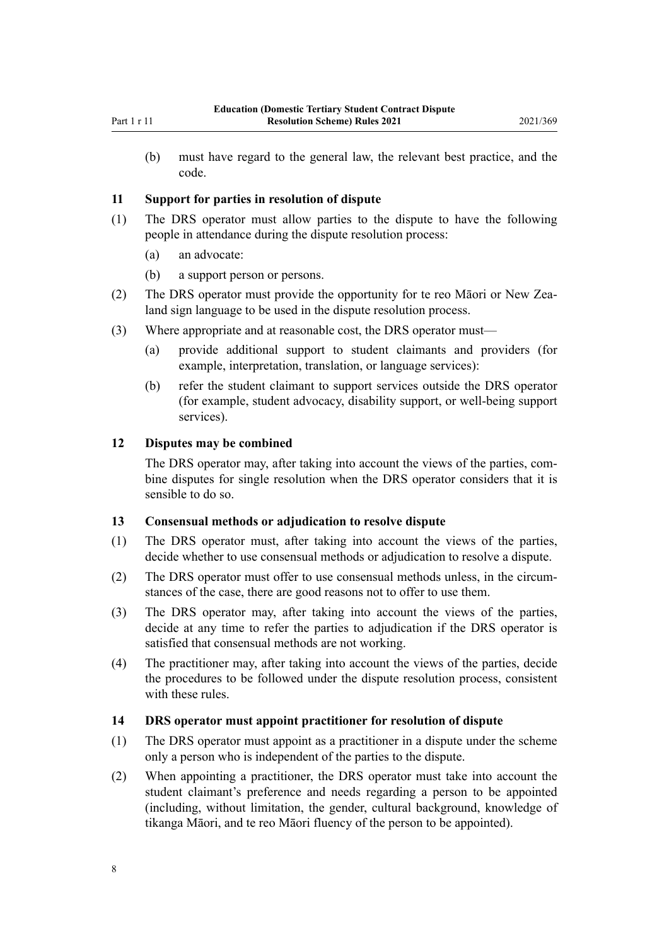<span id="page-7-0"></span>(b) must have regard to the general law, the relevant best practice, and the code.

#### **11 Support for parties in resolution of dispute**

- (1) The DRS operator must allow parties to the dispute to have the following people in attendance during the dispute resolution process:
	- (a) an advocate:
	- (b) a support person or persons.
- (2) The DRS operator must provide the opportunity for te reo Māori or New Zealand sign language to be used in the dispute resolution process.
- (3) Where appropriate and at reasonable cost, the DRS operator must—
	- (a) provide additional support to student claimants and providers (for example, interpretation, translation, or language services):
	- (b) refer the student claimant to support services outside the DRS operator (for example, student advocacy, disability support, or well-being support services).

## **12 Disputes may be combined**

The DRS operator may, after taking into account the views of the parties, combine disputes for single resolution when the DRS operator considers that it is sensible to do so.

#### **13 Consensual methods or adjudication to resolve dispute**

- (1) The DRS operator must, after taking into account the views of the parties, decide whether to use consensual methods or adjudication to resolve a dispute.
- (2) The DRS operator must offer to use consensual methods unless, in the circum‐ stances of the case, there are good reasons not to offer to use them.
- (3) The DRS operator may, after taking into account the views of the parties, decide at any time to refer the parties to adjudication if the DRS operator is satisfied that consensual methods are not working.
- (4) The practitioner may, after taking into account the views of the parties, decide the procedures to be followed under the dispute resolution process, consistent with these rules.

#### **14 DRS operator must appoint practitioner for resolution of dispute**

- (1) The DRS operator must appoint as a practitioner in a dispute under the scheme only a person who is independent of the parties to the dispute.
- (2) When appointing a practitioner, the DRS operator must take into account the student claimant's preference and needs regarding a person to be appointed (including, without limitation, the gender, cultural background, knowledge of tikanga Māori, and te reo Māori fluency of the person to be appointed).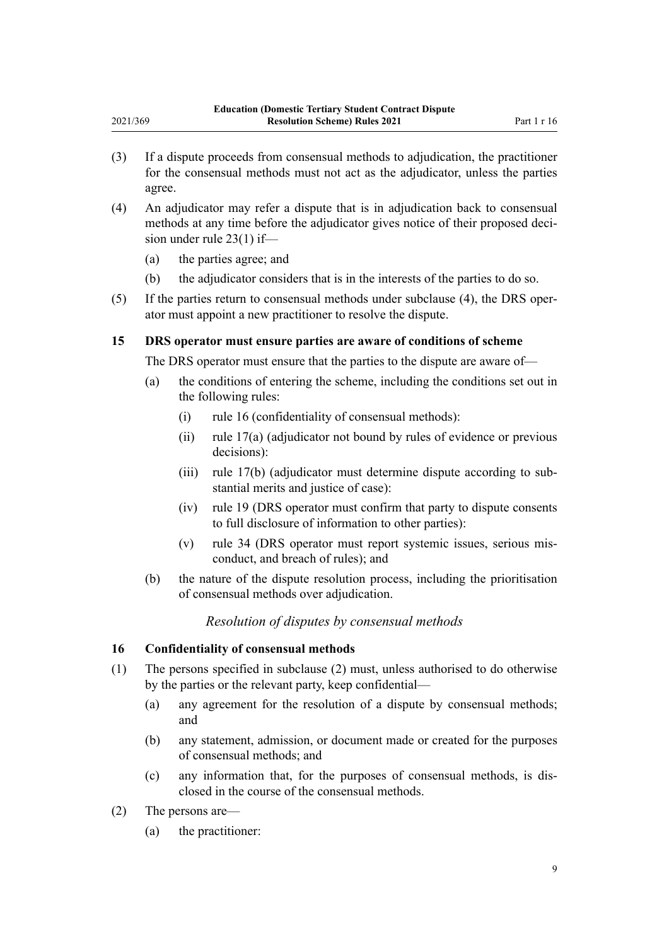- (3) If a dispute proceeds from consensual methods to adjudication, the practitioner for the consensual methods must not act as the adjudicator, unless the parties agree.
- (4) An adjudicator may refer a dispute that is in adjudication back to consensual methods at any time before the adjudicator gives notice of their proposed decision under [rule 23\(1\)](#page-11-0) if—
	- (a) the parties agree; and

<span id="page-8-0"></span>2021/369

- (b) the adjudicator considers that is in the interests of the parties to do so.
- (5) If the parties return to consensual methods under subclause (4), the DRS oper‐ ator must appoint a new practitioner to resolve the dispute.

## **15 DRS operator must ensure parties are aware of conditions of scheme**

The DRS operator must ensure that the parties to the dispute are aware of—

- (a) the conditions of entering the scheme, including the conditions set out in the following rules:
	- (i) rule 16 (confidentiality of consensual methods):
	- (ii) [rule 17\(a\)](#page-9-0) (adjudicator not bound by rules of evidence or previous decisions):
	- (iii) [rule 17\(b\)](#page-9-0) (adjudicator must determine dispute according to sub‐ stantial merits and justice of case):
	- (iv) [rule 19](#page-10-0) (DRS operator must confirm that party to dispute consents to full disclosure of information to other parties):
	- (v) [rule 34](#page-16-0) (DRS operator must report systemic issues, serious mis‐ conduct, and breach of rules); and
- (b) the nature of the dispute resolution process, including the prioritisation of consensual methods over adjudication.

## *Resolution of disputes by consensual methods*

#### **16 Confidentiality of consensual methods**

- (1) The persons specified in subclause (2) must, unless authorised to do otherwise by the parties or the relevant party, keep confidential—
	- (a) any agreement for the resolution of a dispute by consensual methods; and
	- (b) any statement, admission, or document made or created for the purposes of consensual methods; and
	- (c) any information that, for the purposes of consensual methods, is dis‐ closed in the course of the consensual methods.
- (2) The persons are—
	- (a) the practitioner: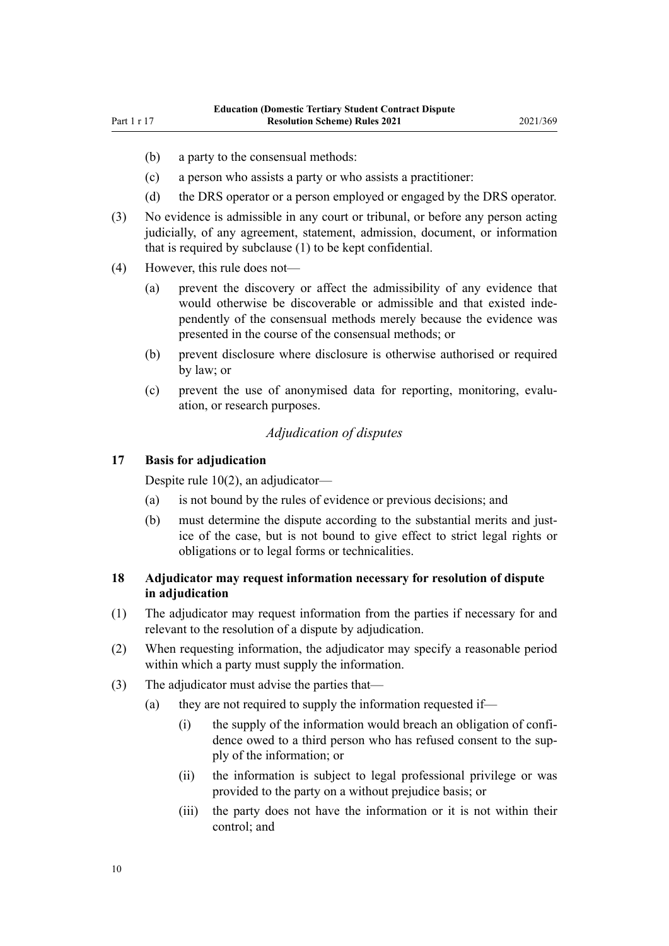- <span id="page-9-0"></span>(b) a party to the consensual methods:
- (c) a person who assists a party or who assists a practitioner:
- (d) the DRS operator or a person employed or engaged by the DRS operator.
- (3) No evidence is admissible in any court or tribunal, or before any person acting judicially, of any agreement, statement, admission, document, or information that is required by subclause (1) to be kept confidential.
- (4) However, this rule does not—
	- (a) prevent the discovery or affect the admissibility of any evidence that would otherwise be discoverable or admissible and that existed independently of the consensual methods merely because the evidence was presented in the course of the consensual methods; or
	- (b) prevent disclosure where disclosure is otherwise authorised or required by law; or
	- (c) prevent the use of anonymised data for reporting, monitoring, evalu‐ ation, or research purposes.

#### *Adjudication of disputes*

#### **17 Basis for adjudication**

Despite [rule 10\(2\),](#page-6-0) an adjudicator—

- (a) is not bound by the rules of evidence or previous decisions; and
- (b) must determine the dispute according to the substantial merits and justice of the case, but is not bound to give effect to strict legal rights or obligations or to legal forms or technicalities.

## **18 Adjudicator may request information necessary for resolution of dispute in adjudication**

- (1) The adjudicator may request information from the parties if necessary for and relevant to the resolution of a dispute by adjudication.
- (2) When requesting information, the adjudicator may specify a reasonable period within which a party must supply the information.
- (3) The adjudicator must advise the parties that—
	- (a) they are not required to supply the information requested if—
		- $(i)$  the supply of the information would breach an obligation of confidence owed to a third person who has refused consent to the sup‐ ply of the information; or
		- (ii) the information is subject to legal professional privilege or was provided to the party on a without prejudice basis; or
		- (iii) the party does not have the information or it is not within their control; and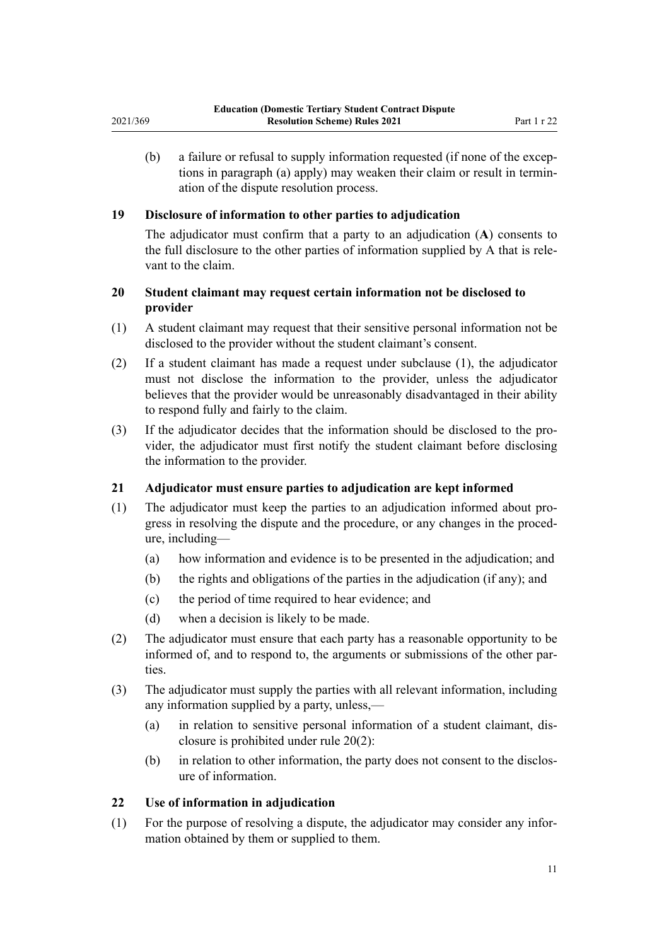<span id="page-10-0"></span>(b) a failure or refusal to supply information requested (if none of the excep‐ tions in paragraph (a) apply) may weaken their claim or result in termin‐ ation of the dispute resolution process.

## **19 Disclosure of information to other parties to adjudication**

The adjudicator must confirm that a party to an adjudication (**A**) consents to the full disclosure to the other parties of information supplied by A that is rele‐ vant to the claim.

## **20 Student claimant may request certain information not be disclosed to provider**

- (1) A student claimant may request that their sensitive personal information not be disclosed to the provider without the student claimant's consent.
- (2) If a student claimant has made a request under subclause (1), the adjudicator must not disclose the information to the provider, unless the adjudicator believes that the provider would be unreasonably disadvantaged in their ability to respond fully and fairly to the claim.
- (3) If the adjudicator decides that the information should be disclosed to the pro‐ vider, the adjudicator must first notify the student claimant before disclosing the information to the provider.

## **21 Adjudicator must ensure parties to adjudication are kept informed**

- (1) The adjudicator must keep the parties to an adjudication informed about pro‐ gress in resolving the dispute and the procedure, or any changes in the procedure, including—
	- (a) how information and evidence is to be presented in the adjudication; and
	- (b) the rights and obligations of the parties in the adjudication (if any); and
	- (c) the period of time required to hear evidence; and
	- (d) when a decision is likely to be made.
- (2) The adjudicator must ensure that each party has a reasonable opportunity to be informed of, and to respond to, the arguments or submissions of the other par‐ ties.
- (3) The adjudicator must supply the parties with all relevant information, including any information supplied by a party, unless,—
	- (a) in relation to sensitive personal information of a student claimant, dis‐ closure is prohibited under rule 20(2):
	- (b) in relation to other information, the party does not consent to the disclosure of information.

#### **22 Use of information in adjudication**

(1) For the purpose of resolving a dispute, the adjudicator may consider any infor‐ mation obtained by them or supplied to them.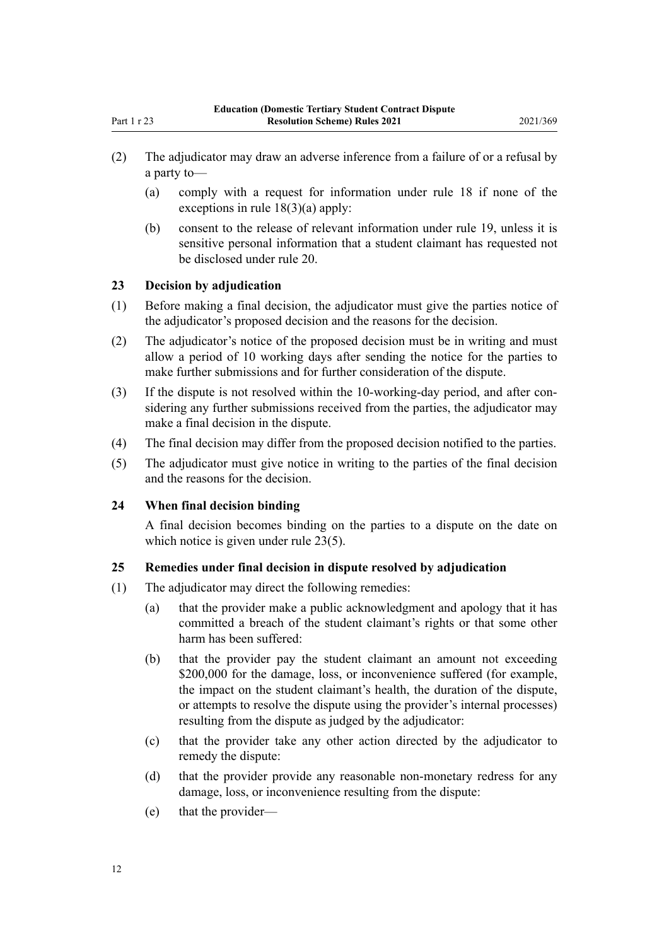- <span id="page-11-0"></span>(2) The adjudicator may draw an adverse inference from a failure of or a refusal by a party to—
	- (a) comply with a request for information under [rule 18](#page-9-0) if none of the exceptions in rule 18(3)(a) apply:
	- (b) consent to the release of relevant information under [rule 19](#page-10-0), unless it is sensitive personal information that a student claimant has requested not be disclosed under [rule 20.](#page-10-0)

## **23 Decision by adjudication**

- (1) Before making a final decision, the adjudicator must give the parties notice of the adjudicator's proposed decision and the reasons for the decision.
- (2) The adjudicator's notice of the proposed decision must be in writing and must allow a period of 10 working days after sending the notice for the parties to make further submissions and for further consideration of the dispute.
- (3) If the dispute is not resolved within the 10-working-day period, and after considering any further submissions received from the parties, the adjudicator may make a final decision in the dispute.
- (4) The final decision may differ from the proposed decision notified to the parties.
- (5) The adjudicator must give notice in writing to the parties of the final decision and the reasons for the decision.

## **24 When final decision binding**

A final decision becomes binding on the parties to a dispute on the date on which notice is given under rule 23(5).

#### **25 Remedies under final decision in dispute resolved by adjudication**

- (1) The adjudicator may direct the following remedies:
	- (a) that the provider make a public acknowledgment and apology that it has committed a breach of the student claimant's rights or that some other harm has been suffered:
	- (b) that the provider pay the student claimant an amount not exceeding \$200,000 for the damage, loss, or inconvenience suffered (for example, the impact on the student claimant's health, the duration of the dispute, or attempts to resolve the dispute using the provider's internal processes) resulting from the dispute as judged by the adjudicator:
	- (c) that the provider take any other action directed by the adjudicator to remedy the dispute:
	- (d) that the provider provide any reasonable non-monetary redress for any damage, loss, or inconvenience resulting from the dispute:
	- (e) that the provider—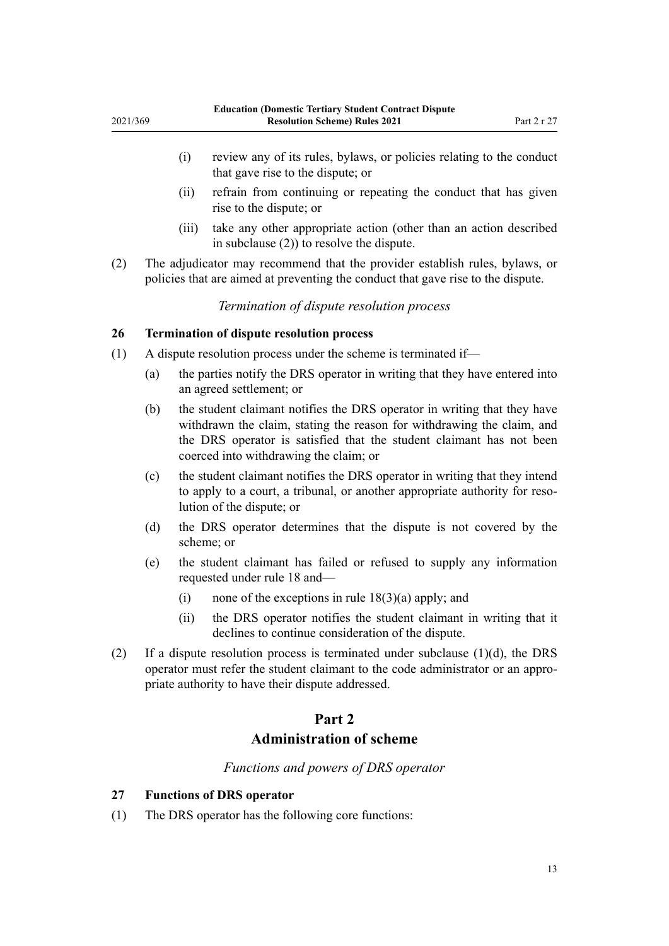- <span id="page-12-0"></span>(i) review any of its rules, bylaws, or policies relating to the conduct that gave rise to the dispute; or
- (ii) refrain from continuing or repeating the conduct that has given rise to the dispute; or
- (iii) take any other appropriate action (other than an action described in subclause (2)) to resolve the dispute.
- (2) The adjudicator may recommend that the provider establish rules, bylaws, or policies that are aimed at preventing the conduct that gave rise to the dispute.

*Termination of dispute resolution process*

#### **26 Termination of dispute resolution process**

- (1) A dispute resolution process under the scheme is terminated if—
	- (a) the parties notify the DRS operator in writing that they have entered into an agreed settlement; or
	- (b) the student claimant notifies the DRS operator in writing that they have withdrawn the claim, stating the reason for withdrawing the claim, and the DRS operator is satisfied that the student claimant has not been coerced into withdrawing the claim; or
	- (c) the student claimant notifies the DRS operator in writing that they intend to apply to a court, a tribunal, or another appropriate authority for reso‐ lution of the dispute; or
	- (d) the DRS operator determines that the dispute is not covered by the scheme; or
	- (e) the student claimant has failed or refused to supply any information requested under [rule 18](#page-9-0) and—
		- (i) none of the exceptions in rule  $18(3)(a)$  apply; and
		- (ii) the DRS operator notifies the student claimant in writing that it declines to continue consideration of the dispute.
- (2) If a dispute resolution process is terminated under subclause  $(1)(d)$ , the DRS operator must refer the student claimant to the code administrator or an appro‐ priate authority to have their dispute addressed.

## **Part 2 Administration of scheme**

*Functions and powers of DRS operator*

#### **27 Functions of DRS operator**

(1) The DRS operator has the following core functions: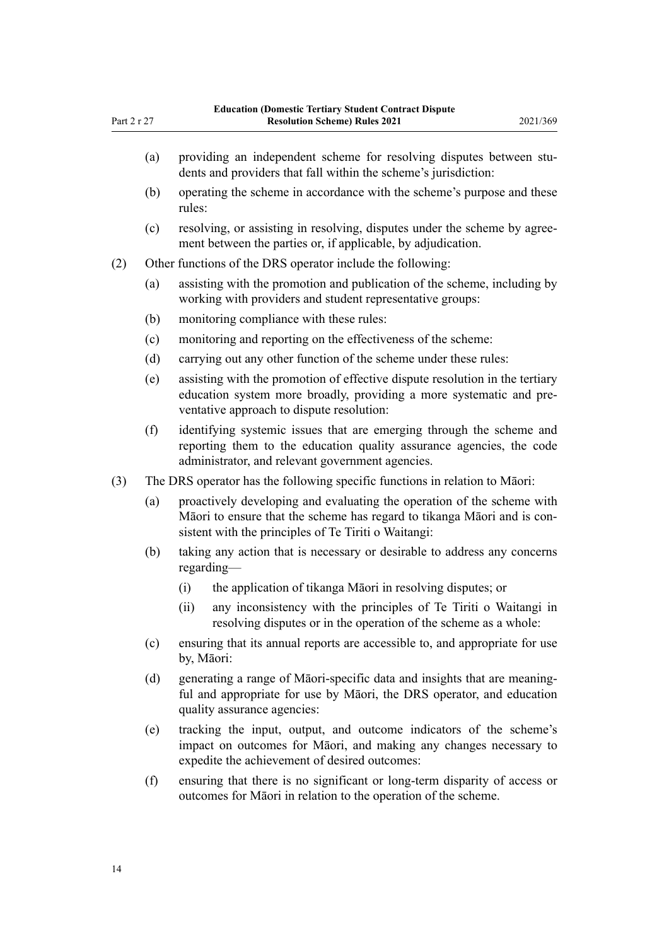| Part 2 r 27 |     | nesue Teruary Suddent Contract Disp<br><b>Resolution Scheme) Rules 2021</b>                                                                                                                               | 2021/369 |
|-------------|-----|-----------------------------------------------------------------------------------------------------------------------------------------------------------------------------------------------------------|----------|
|             | (a) | providing an independent scheme for resolving disputes between stu-<br>dents and providers that fall within the scheme's jurisdiction:                                                                    |          |
|             | (b) | operating the scheme in accordance with the scheme's purpose and these<br>rules:                                                                                                                          |          |
|             | (c) | resolving, or assisting in resolving, disputes under the scheme by agree-<br>ment between the parties or, if applicable, by adjudication.                                                                 |          |
| (2)         |     | Other functions of the DRS operator include the following:                                                                                                                                                |          |
|             | (a) | assisting with the promotion and publication of the scheme, including by<br>working with providers and student representative groups:                                                                     |          |
|             | (b) | monitoring compliance with these rules:                                                                                                                                                                   |          |
|             | (c) | monitoring and reporting on the effectiveness of the scheme:                                                                                                                                              |          |
|             | (d) | carrying out any other function of the scheme under these rules:                                                                                                                                          |          |
|             | (e) | assisting with the promotion of effective dispute resolution in the tertiary<br>education system more broadly, providing a more systematic and pre-<br>ventative approach to dispute resolution:          |          |
|             | (f) | identifying systemic issues that are emerging through the scheme and<br>reporting them to the education quality assurance agencies, the code<br>administrator, and relevant government agencies.          |          |
| (3)         |     | The DRS operator has the following specific functions in relation to Māori:                                                                                                                               |          |
|             | (a) | proactively developing and evaluating the operation of the scheme with<br>Māori to ensure that the scheme has regard to tikanga Māori and is con-<br>sistent with the principles of Te Tiriti o Waitangi: |          |
|             | (b) | taking any action that is necessary or desirable to address any concerns<br>$regarding$ —                                                                                                                 |          |
|             |     | the application of tikanga Māori in resolving disputes; or<br>(i)                                                                                                                                         |          |
|             |     | any inconsistency with the principles of Te Tiriti o Waitangi in<br>(ii)<br>resolving disputes or in the operation of the scheme as a whole:                                                              |          |
|             | (c) | ensuring that its annual reports are accessible to, and appropriate for use<br>by, Māori:                                                                                                                 |          |
|             | (d) | generating a range of Māori-specific data and insights that are meaning-                                                                                                                                  |          |

- ful and appropriate for use by Māori, the DRS operator, and education quality assurance agencies:
- (e) tracking the input, output, and outcome indicators of the scheme's impact on outcomes for Māori, and making any changes necessary to expedite the achievement of desired outcomes:
- (f) ensuring that there is no significant or long-term disparity of access or outcomes for Māori in relation to the operation of the scheme.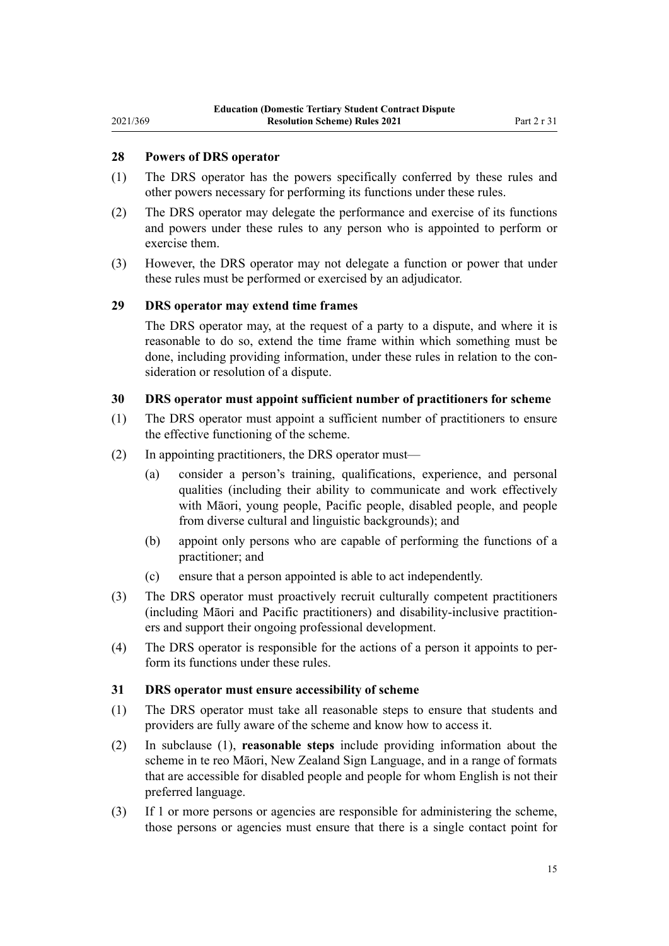## <span id="page-14-0"></span>**28 Powers of DRS operator**

- (1) The DRS operator has the powers specifically conferred by these rules and other powers necessary for performing its functions under these rules.
- (2) The DRS operator may delegate the performance and exercise of its functions and powers under these rules to any person who is appointed to perform or exercise them.
- (3) However, the DRS operator may not delegate a function or power that under these rules must be performed or exercised by an adjudicator.

### **29 DRS operator may extend time frames**

The DRS operator may, at the request of a party to a dispute, and where it is reasonable to do so, extend the time frame within which something must be done, including providing information, under these rules in relation to the consideration or resolution of a dispute.

## **30 DRS operator must appoint sufficient number of practitioners for scheme**

- (1) The DRS operator must appoint a sufficient number of practitioners to ensure the effective functioning of the scheme.
- (2) In appointing practitioners, the DRS operator must—
	- (a) consider a person's training, qualifications, experience, and personal qualities (including their ability to communicate and work effectively with Māori, young people, Pacific people, disabled people, and people from diverse cultural and linguistic backgrounds); and
	- (b) appoint only persons who are capable of performing the functions of a practitioner; and
	- (c) ensure that a person appointed is able to act independently.
- (3) The DRS operator must proactively recruit culturally competent practitioners (including Māori and Pacific practitioners) and disability-inclusive practition‐ ers and support their ongoing professional development.
- (4) The DRS operator is responsible for the actions of a person it appoints to per‐ form its functions under these rules.

#### **31 DRS operator must ensure accessibility of scheme**

- (1) The DRS operator must take all reasonable steps to ensure that students and providers are fully aware of the scheme and know how to access it.
- (2) In subclause (1), **reasonable steps** include providing information about the scheme in te reo Māori, New Zealand Sign Language, and in a range of formats that are accessible for disabled people and people for whom English is not their preferred language.
- (3) If 1 or more persons or agencies are responsible for administering the scheme, those persons or agencies must ensure that there is a single contact point for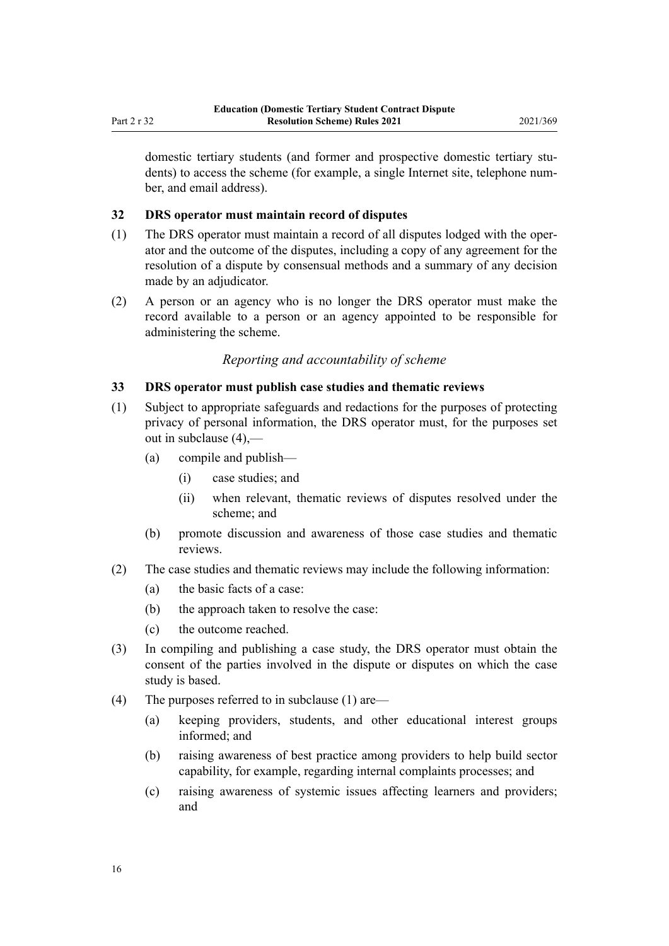<span id="page-15-0"></span>domestic tertiary students (and former and prospective domestic tertiary students) to access the scheme (for example, a single Internet site, telephone number, and email address).

#### **32 DRS operator must maintain record of disputes**

- (1) The DRS operator must maintain a record of all disputes lodged with the oper‐ ator and the outcome of the disputes, including a copy of any agreement for the resolution of a dispute by consensual methods and a summary of any decision made by an adjudicator.
- (2) A person or an agency who is no longer the DRS operator must make the record available to a person or an agency appointed to be responsible for administering the scheme.

#### *Reporting and accountability of scheme*

#### **33 DRS operator must publish case studies and thematic reviews**

- (1) Subject to appropriate safeguards and redactions for the purposes of protecting privacy of personal information, the DRS operator must, for the purposes set out in subclause (4),—
	- (a) compile and publish—
		- (i) case studies; and
		- (ii) when relevant, thematic reviews of disputes resolved under the scheme; and
	- (b) promote discussion and awareness of those case studies and thematic reviews.
- (2) The case studies and thematic reviews may include the following information:
	- (a) the basic facts of a case:
	- (b) the approach taken to resolve the case:
	- (c) the outcome reached.
- (3) In compiling and publishing a case study, the DRS operator must obtain the consent of the parties involved in the dispute or disputes on which the case study is based.
- (4) The purposes referred to in subclause (1) are—
	- (a) keeping providers, students, and other educational interest groups informed; and
	- (b) raising awareness of best practice among providers to help build sector capability, for example, regarding internal complaints processes; and
	- (c) raising awareness of systemic issues affecting learners and providers; and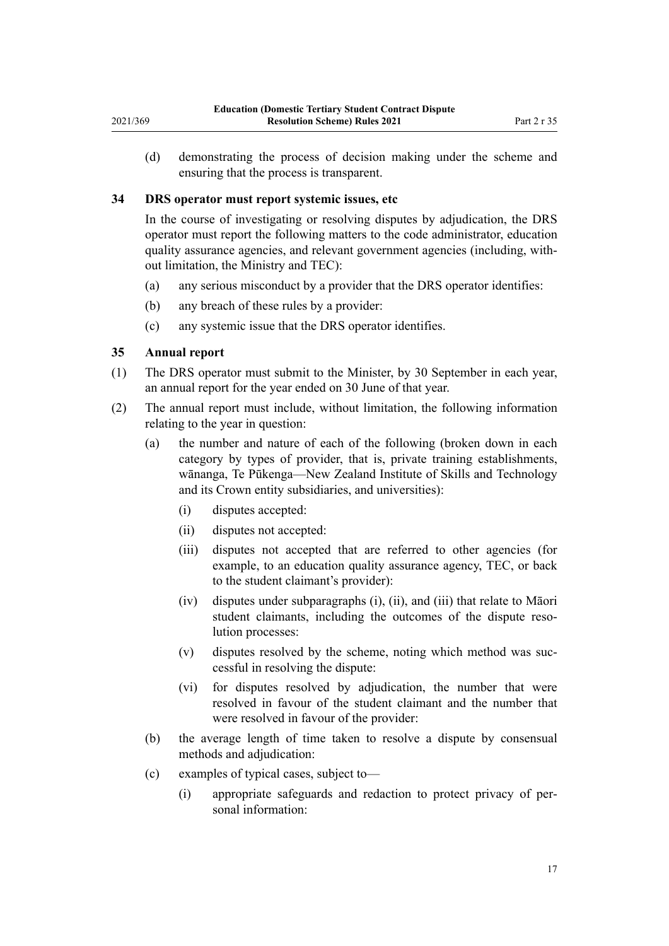<span id="page-16-0"></span>(d) demonstrating the process of decision making under the scheme and ensuring that the process is transparent.

## **34 DRS operator must report systemic issues, etc**

In the course of investigating or resolving disputes by adjudication, the DRS operator must report the following matters to the code administrator, education quality assurance agencies, and relevant government agencies (including, with‐ out limitation, the Ministry and TEC):

- (a) any serious misconduct by a provider that the DRS operator identifies:
- (b) any breach of these rules by a provider:
- (c) any systemic issue that the DRS operator identifies.

## **35 Annual report**

- (1) The DRS operator must submit to the Minister, by 30 September in each year, an annual report for the year ended on 30 June of that year.
- (2) The annual report must include, without limitation, the following information relating to the year in question:
	- (a) the number and nature of each of the following (broken down in each category by types of provider, that is, private training establishments, wānanga, Te Pūkenga—New Zealand Institute of Skills and Technology and its Crown entity subsidiaries, and universities):
		- (i) disputes accepted:
		- (ii) disputes not accepted:
		- (iii) disputes not accepted that are referred to other agencies (for example, to an education quality assurance agency, TEC, or back to the student claimant's provider):
		- (iv) disputes under subparagraphs (i), (ii), and (iii) that relate to Māori student claimants, including the outcomes of the dispute resolution processes:
		- (v) disputes resolved by the scheme, noting which method was suc‐ cessful in resolving the dispute:
		- (vi) for disputes resolved by adjudication, the number that were resolved in favour of the student claimant and the number that were resolved in favour of the provider:
	- (b) the average length of time taken to resolve a dispute by consensual methods and adjudication:
	- (c) examples of typical cases, subject to—
		- (i) appropriate safeguards and redaction to protect privacy of per‐ sonal information: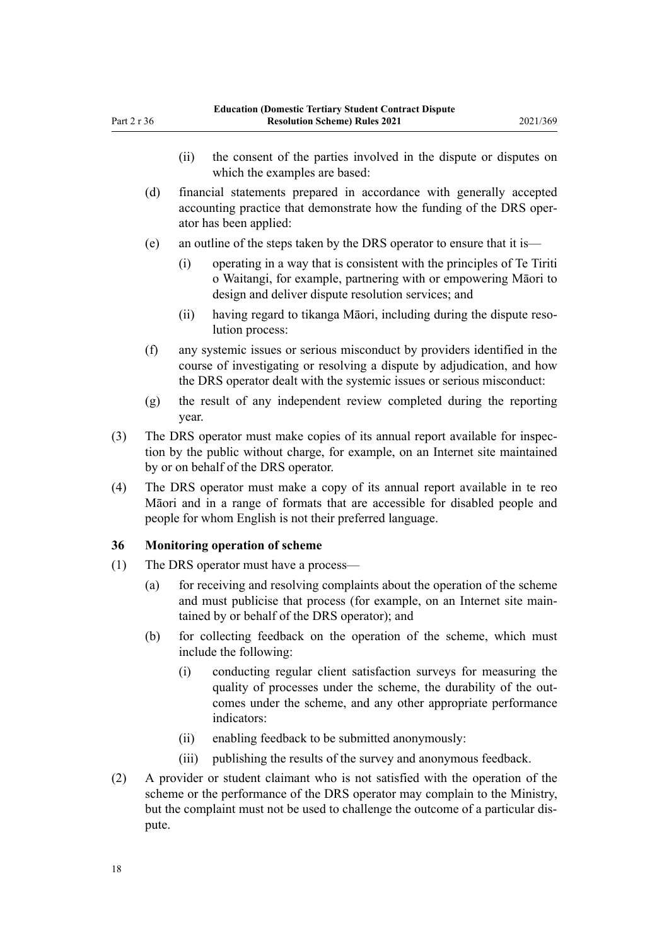- <span id="page-17-0"></span>(ii) the consent of the parties involved in the dispute or disputes on which the examples are based:
- (d) financial statements prepared in accordance with generally accepted accounting practice that demonstrate how the funding of the DRS oper‐ ator has been applied:
- (e) an outline of the steps taken by the DRS operator to ensure that it is—
	- (i) operating in a way that is consistent with the principles of Te Tiriti o Waitangi, for example, partnering with or empowering Māori to design and deliver dispute resolution services; and
	- (ii) having regard to tikanga Māori, including during the dispute reso‐ lution process:
- (f) any systemic issues or serious misconduct by providers identified in the course of investigating or resolving a dispute by adjudication, and how the DRS operator dealt with the systemic issues or serious misconduct:
- (g) the result of any independent review completed during the reporting year.
- (3) The DRS operator must make copies of its annual report available for inspec‐ tion by the public without charge, for example, on an Internet site maintained by or on behalf of the DRS operator.
- (4) The DRS operator must make a copy of its annual report available in te reo Māori and in a range of formats that are accessible for disabled people and people for whom English is not their preferred language.

## **36 Monitoring operation of scheme**

- (1) The DRS operator must have a process—
	- (a) for receiving and resolving complaints about the operation of the scheme and must publicise that process (for example, on an Internet site main‐ tained by or behalf of the DRS operator); and
	- (b) for collecting feedback on the operation of the scheme, which must include the following:
		- (i) conducting regular client satisfaction surveys for measuring the quality of processes under the scheme, the durability of the outcomes under the scheme, and any other appropriate performance indicators:
		- (ii) enabling feedback to be submitted anonymously:
		- (iii) publishing the results of the survey and anonymous feedback.
- (2) A provider or student claimant who is not satisfied with the operation of the scheme or the performance of the DRS operator may complain to the Ministry, but the complaint must not be used to challenge the outcome of a particular dispute.